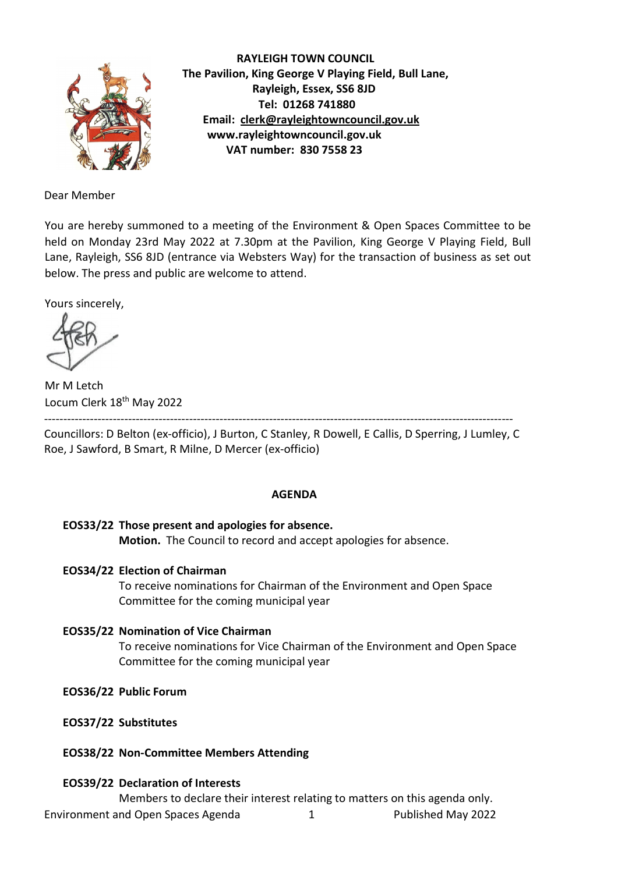

 RAYLEIGH TOWN COUNCIL The Pavilion, King George V Playing Field, Bull Lane, Rayleigh, Essex, SS6 8JD Tel: 01268 741880 Email: clerk@rayleightowncouncil.gov.uk www.rayleightowncouncil.gov.uk VAT number: 830 7558 23

Dear Member

You are hereby summoned to a meeting of the Environment & Open Spaces Committee to be held on Monday 23rd May 2022 at 7.30pm at the Pavilion, King George V Playing Field, Bull Lane, Rayleigh, SS6 8JD (entrance via Websters Way) for the transaction of business as set out below. The press and public are welcome to attend.

Yours sincerely,

Mr M Letch Locum Clerk 18th May 2022

---------------------------------------------------------------------------------------------------------------------------

Councillors: D Belton (ex-officio), J Burton, C Stanley, R Dowell, E Callis, D Sperring, J Lumley, C Roe, J Sawford, B Smart, R Milne, D Mercer (ex-officio)

# AGENDA

```
EOS33/22 Those present and apologies for absence. 
Motion. The Council to record and accept apologies for absence.
```
# EOS34/22 Election of Chairman

To receive nominations for Chairman of the Environment and Open Space Committee for the coming municipal year

- EOS35/22 Nomination of Vice Chairman To receive nominations for Vice Chairman of the Environment and Open Space Committee for the coming municipal year
- EOS36/22 Public Forum
- EOS37/22 Substitutes
- EOS38/22 Non-Committee Members Attending

# EOS39/22 Declaration of Interests

Environment and Open Spaces Agenda 1 Published May 2022 Members to declare their interest relating to matters on this agenda only.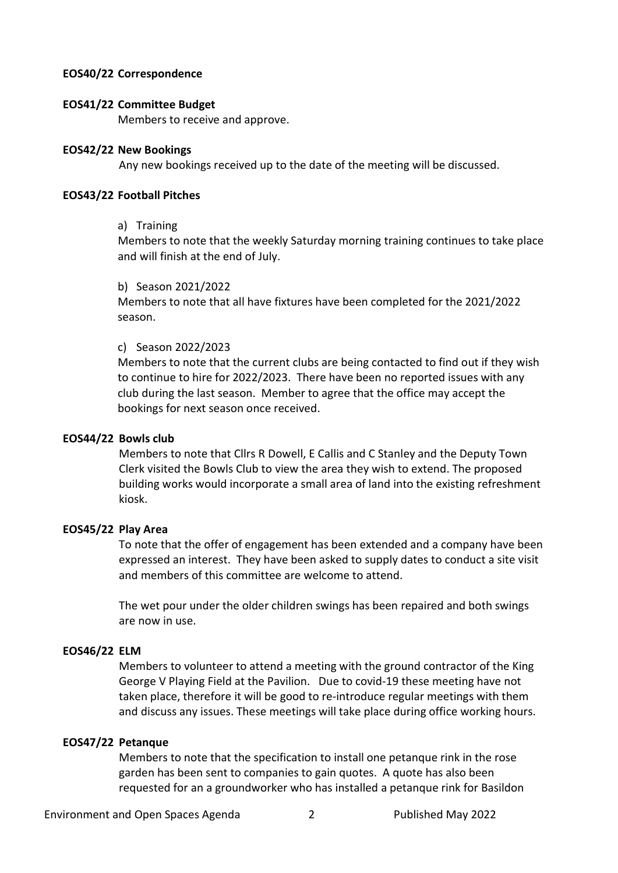### EOS40/22 Correspondence

#### EOS41/22 Committee Budget

Members to receive and approve.

#### EOS42/22 New Bookings

Any new bookings received up to the date of the meeting will be discussed.

### EOS43/22 Football Pitches

#### a) Training

 Members to note that the weekly Saturday morning training continues to take place and will finish at the end of July.

#### b) Season 2021/2022

Members to note that all have fixtures have been completed for the 2021/2022 season.

# c) Season 2022/2023

Members to note that the current clubs are being contacted to find out if they wish to continue to hire for 2022/2023. There have been no reported issues with any club during the last season. Member to agree that the office may accept the bookings for next season once received.

# EOS44/22 Bowls club

Members to note that Cllrs R Dowell, E Callis and C Stanley and the Deputy Town Clerk visited the Bowls Club to view the area they wish to extend. The proposed building works would incorporate a small area of land into the existing refreshment kiosk.

# EOS45/22 Play Area

To note that the offer of engagement has been extended and a company have been expressed an interest. They have been asked to supply dates to conduct a site visit and members of this committee are welcome to attend.

The wet pour under the older children swings has been repaired and both swings are now in use.

# EOS46/22 ELM

Members to volunteer to attend a meeting with the ground contractor of the King George V Playing Field at the Pavilion. Due to covid-19 these meeting have not taken place, therefore it will be good to re-introduce regular meetings with them and discuss any issues. These meetings will take place during office working hours.

# EOS47/22 Petanque

Members to note that the specification to install one petanque rink in the rose garden has been sent to companies to gain quotes. A quote has also been requested for an a groundworker who has installed a petanque rink for Basildon